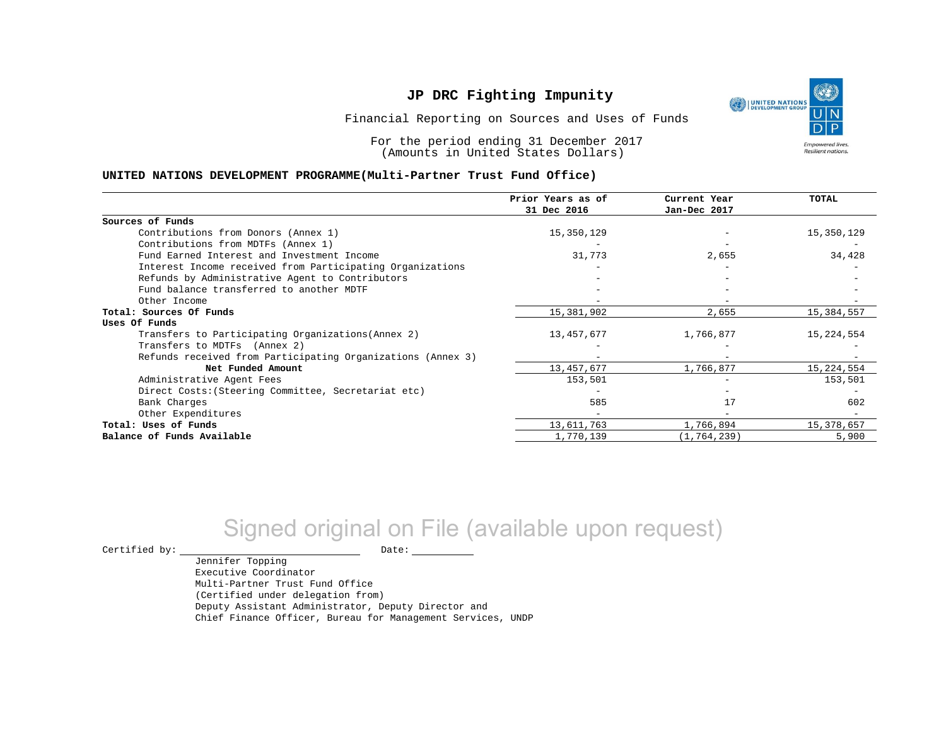

Financial Reporting on Sources and Uses of Funds

For the period ending 31 December 2017 (Amounts in United States Dollars)

#### **UNITED NATIONS DEVELOPMENT PROGRAMME(Multi-Partner Trust Fund Office)**

|                                                             | Prior Years as of<br>31 Dec 2016 | Current Year<br>Jan-Dec 2017 | TOTAL        |
|-------------------------------------------------------------|----------------------------------|------------------------------|--------------|
|                                                             |                                  |                              |              |
| Sources of Funds                                            |                                  |                              |              |
| Contributions from Donors (Annex 1)                         | 15,350,129                       |                              | 15,350,129   |
| Contributions from MDTFs (Annex 1)                          |                                  |                              |              |
| Fund Earned Interest and Investment Income                  | 31,773                           | 2,655                        | 34,428       |
| Interest Income received from Participating Organizations   |                                  |                              |              |
| Refunds by Administrative Agent to Contributors             |                                  |                              |              |
| Fund balance transferred to another MDTF                    |                                  |                              |              |
| Other Income                                                |                                  |                              |              |
| Total: Sources Of Funds                                     | 15,381,902                       | 2,655                        | 15,384,557   |
| Uses Of Funds                                               |                                  |                              |              |
| Transfers to Participating Organizations (Annex 2)          | 13,457,677                       | 1,766,877                    | 15, 224, 554 |
| Transfers to MDTFs (Annex 2)                                |                                  |                              |              |
| Refunds received from Participating Organizations (Annex 3) | $\overline{\phantom{0}}$         |                              |              |
| Net Funded Amount                                           | 13, 457, 677                     | 1,766,877                    | 15,224,554   |
| Administrative Agent Fees                                   | 153,501                          |                              | 153,501      |
| Direct Costs: (Steering Committee, Secretariat etc)         |                                  |                              |              |
| Bank Charges                                                | 585                              | 17                           | 602          |
| Other Expenditures                                          |                                  |                              |              |
| Total: Uses of Funds                                        | 13,611,763                       | 1,766,894                    | 15,378,657   |
| Balance of Funds Available                                  | 1,770,139                        | (1, 764, 239)                | 5,900        |

# Signed original on File (available upon request)

Jennifer Topping

 $\begin{tabular}{ccccc} \multicolumn{2}{c|}{\textbf{Certified by:}} & \multicolumn{2}{c|}{\textbf{Date:}} \end{tabular}$ 

Executive Coordinator Multi-Partner Trust Fund Office (Certified under delegation from) Deputy Assistant Administrator, Deputy Director and Chief Finance Officer, Bureau for Management Services, UNDP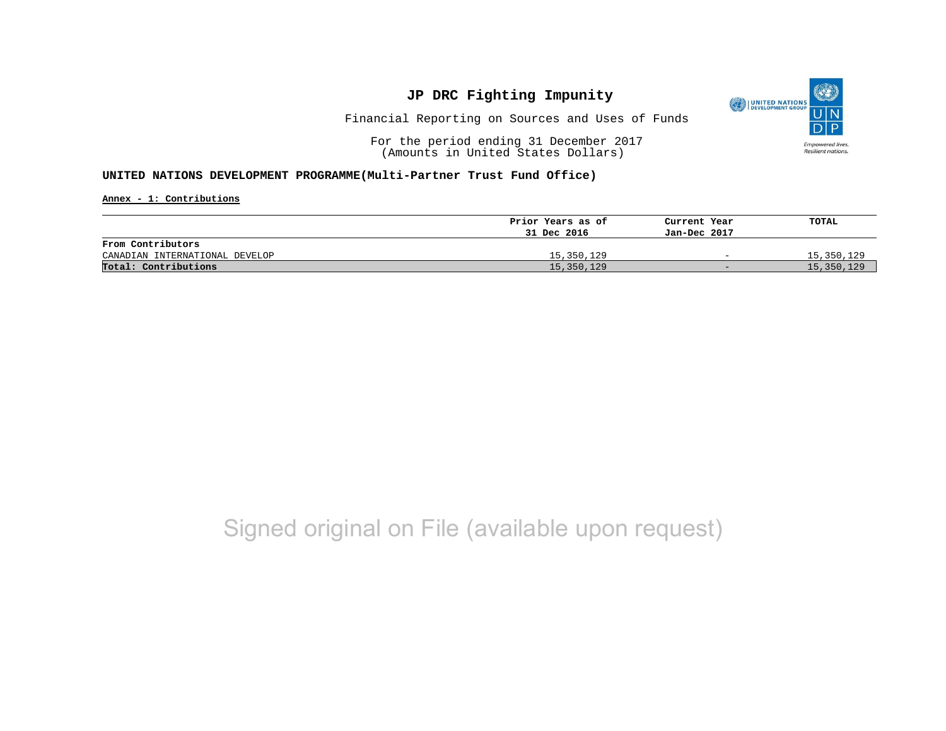

Financial Reporting on Sources and Uses of Funds

For the period ending 31 December 2017 (Amounts in United States Dollars)

#### **UNITED NATIONS DEVELOPMENT PROGRAMME(Multi-Partner Trust Fund Office)**

**Annex - 1: Contributions**

|                                | Prior Years as of | Current Year             | TOTAL      |
|--------------------------------|-------------------|--------------------------|------------|
|                                | 31 Dec 2016       | Jan-Dec 2017             |            |
| From Contributors              |                   |                          |            |
| CANADIAN INTERNATIONAL DEVELOP | 15,350,129        | $\overline{\phantom{0}}$ | 15,350,129 |
| Total: Contributions           | 15,350,129        | $-$                      | 15,350,129 |

# Signed original on File (available upon request)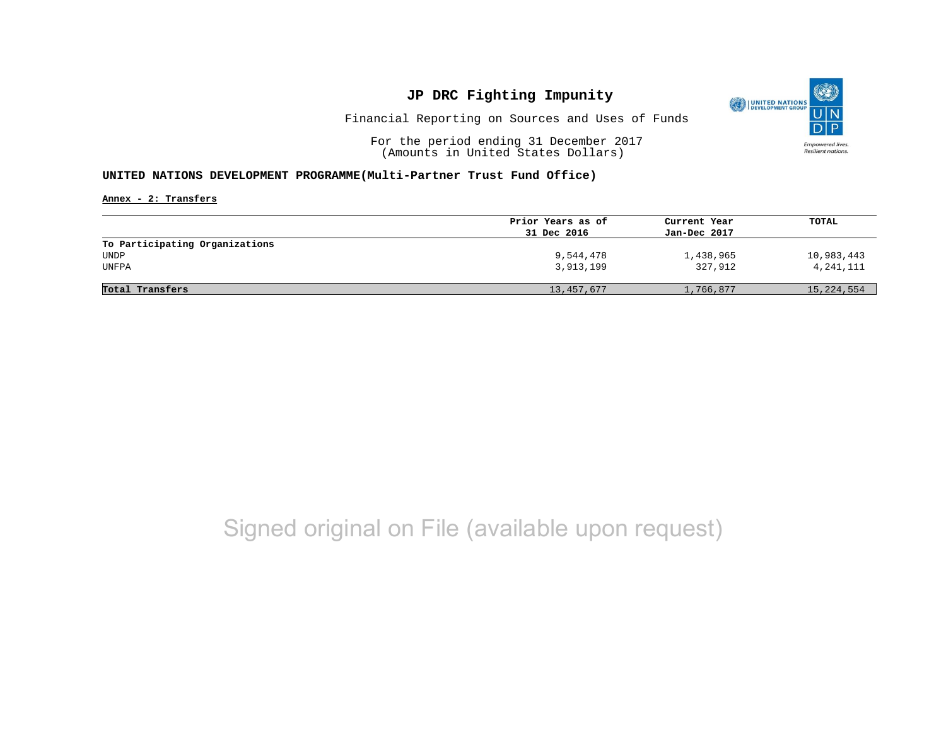

Financial Reporting on Sources and Uses of Funds

For the period ending 31 December 2017 (Amounts in United States Dollars)

#### **UNITED NATIONS DEVELOPMENT PROGRAMME(Multi-Partner Trust Fund Office)**

**Annex - 2: Transfers**

|                                | Prior Years as of | Current Year | <b>TOTAL</b> |
|--------------------------------|-------------------|--------------|--------------|
|                                | 31 Dec 2016       | Jan-Dec 2017 |              |
| To Participating Organizations |                   |              |              |
| UNDP                           | 9,544,478         | 1,438,965    | 10,983,443   |
| UNFPA                          | 3,913,199         | 327,912      | 4, 241, 111  |
|                                |                   |              |              |
| Total Transfers                | 13,457,677        | 1,766,877    | 15,224,554   |

# Signed original on File (available upon request)